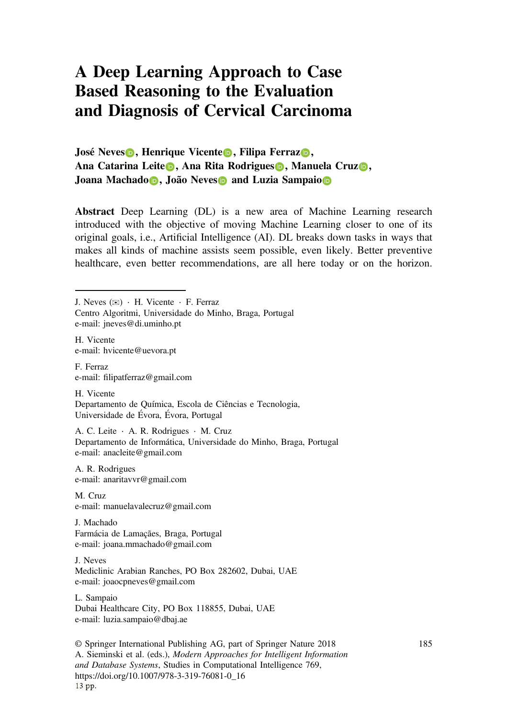## **A Deep Learning Approach to Case Based Reasoning to the Evaluation and Diagnosis of Cervical Carcinoma**

**José Neves<sup></sup> <b>, Henrique Vicente , Filipa Ferraz , Ana Catarina Leite , Ana Rita Rodrigues , Manuela Cruz , Joana Machado , João Neves and Luzia Sampaio**

**Abstract** Deep Learning (DL) is a new area of Machine Learning research introduced with the objective of moving Machine Learning closer to one of its original goals, i.e., Artificial Intelligence (AI). DL breaks down tasks in ways that makes all kinds of machine assists seem possible, even likely. Better preventive healthcare, even better recommendations, are all here today or on the horizon.

e-mail: jneves@di.uminho.pt

H. Vicente e-mail: hvicente@uevora.pt

F. Ferraz e-mail: filipatferraz@gmail.com

H. Vicente Departamento de Química, Escola de Ciências e Tecnologia, Universidade de Évora, Évora, Portugal

A. C. Leite ⋅ A. R. Rodrigues ⋅ M. Cruz Departamento de Informática, Universidade do Minho, Braga, Portugal e-mail: anacleite@gmail.com

A. R. Rodrigues e-mail: anaritavvr@gmail.com

M. Cruz e-mail: manuelavalecruz@gmail.com

J. Machado Farmácia de Lamaçães, Braga, Portugal e-mail: joana.mmachado@gmail.com

J. Neves Mediclinic Arabian Ranches, PO Box 282602, Dubai, UAE e-mail: joaocpneves@gmail.com

L. Sampaio Dubai Healthcare City, PO Box 118855, Dubai, UAE e-mail: luzia.sampaio@dbaj.ae

© Springer International Publishing AG, part of Springer Nature 2018 A. Sieminski et al. (eds.), *Modern Approaches for Intelligent Information and Database Systems*, Studies in Computational Intelligence 769, https://doi.org/10.1007/978-3-319-76081-0\_16 13 pp.

J. Neves ( $\boxtimes$ ) ⋅ H. Vicente ⋅ F. Ferraz Centro Algoritmi, Universidade do Minho, Braga, Portugal